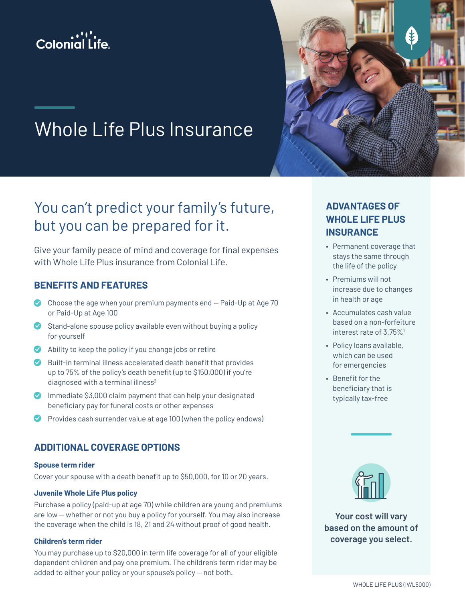



# Whole Life Plus Insurance

## You can't predict your family's future, but you can be prepared for it.

Give your family peace of mind and coverage for final expenses with Whole Life Plus insurance from Colonial Life.

## **BENEFITS AND FEATURES**

- Choose the age when your premium payments end Paid-Up at Age 70 or Paid-Up at Age 100
- Stand-alone spouse policy available even without buying a policy for yourself
- $\bullet$  Ability to keep the policy if you change jobs or retire
- Built-in terminal illness accelerated death benefit that provides up to 75% of the policy's death benefit (up to \$150,000) if you're diagnosed with a terminal illness<sup>2</sup>
- **Immediate \$3,000 claim payment that can help your designated** beneficiary pay for funeral costs or other expenses
- Provides cash surrender value at age 100 (when the policy endows)

## **ADDITIONAL COVERAGE OPTIONS**

#### **Spouse term rider**

Cover your spouse with a death benefit up to \$50,000, for 10 or 20 years.

#### **Juvenile Whole Life Plus policy**

Purchase a policy (paid-up at age 70) while children are young and premiums are low — whether or not you buy a policy for yourself. You may also increase the coverage when the child is 18, 21 and 24 without proof of good health.

#### **Children's term rider**

You may purchase up to \$20,000 in term life coverage for all of your eligible dependent children and pay one premium. The children's term rider may be added to either your policy or your spouse's policy — not both.

## **ADVANTAGES OF WHOLE LIFE PLUS INSURANCE**

- Permanent coverage that stays the same through the life of the policy
- Premiums will not increase due to changes in health or age
- Accumulates cash value based on a non-forfeiture interest rate of 3.75%<sup>1</sup>
- Policy loans available, which can be used for emergencies
- Benefit for the beneficiary that is typically tax-free



**Your cost will vary based on the amount of coverage you select.**